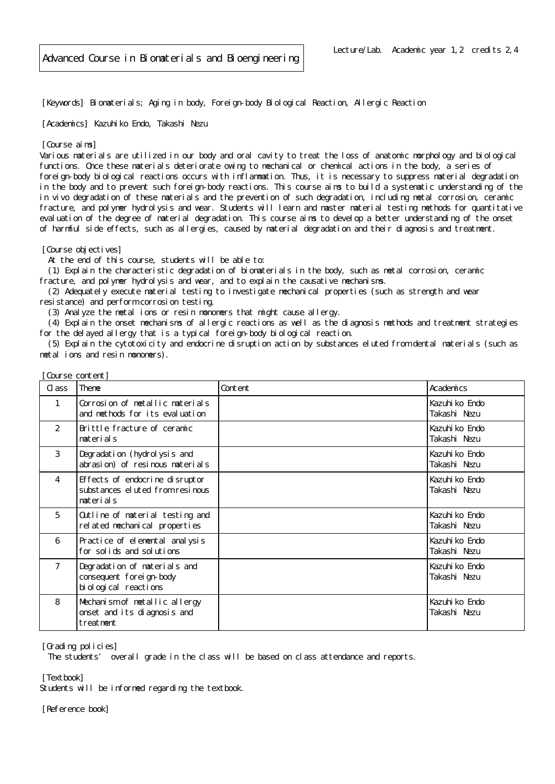[Keywords] Biomaterials; Aging in body, Foreign-body Biological Reaction, Allergic Reaction

[Academics] Kazuhiko Endo, Takashi Nezu

## [Course aims]

Various materials are utilized in our body and oral cavity to treat the loss of anatomic morphology and biological functions. Once these materials deteriorate owing to mechanical or chemical actions in the body, a series of foreign-body biological reactions occurs with inflammation. Thus, it is necessary to suppress material degradation in the body and to prevent such foreign-body reactions. This course aims to build a systematic understanding of the in vivo degradation of these materials and the prevention of such degradation, including metal corrosion, ceramic fracture, and polymer hydrolysis and wear. Students will learn and master material testing methods for quantitative evaluation of the degree of material degradation. This course aims to develop a better understanding of the onset of harmful side effects, such as allergies, caused by material degradation and their diagnosis and treatment.

[Course objectives]

[Course content]

At the end of this course, students will be able to:

 (1) Explain the characteristic degradation of biomaterials in the body, such as metal corrosion, ceramic fracture, and polymer hydrolysis and wear, and to explain the causative mechanisms.

 (2) Adequately execute material testing to investigate mechanical properties (such as strength and wear resistance) and perform corrosion testing.

(3) Analyze the metal ions or resin monomers that might cause allergy.

 (4) Explain the onset mechanisms of allergic reactions as well as the diagnosis methods and treatment strategies for the delayed allergy that is a typical foreign-body biological reaction.

 (5) Explain the cytotoxicity and endocrine disruption action by substances eluted from dental materials (such as metal ions and resin monomers).

| Cl ass         | Theme                                                                              | Content | Academics                      |
|----------------|------------------------------------------------------------------------------------|---------|--------------------------------|
|                | Corrosion of metallic materials<br>and methods for its evaluation                  |         | Kazuhi ko Endo<br>Takashi Nezu |
| $\overline{2}$ | Brittle fracture of ceramic<br>materials                                           |         | Kazuhi ko Endo<br>Takashi Nezu |
| 3              | Degradation (hydrolysis and<br>abrasion) of resinous materials                     |         | Kazuhi ko Endo<br>Takashi Nezu |
| 4              | Effects of endocrine disruptor<br>substances el uted from resinous<br>materials    |         | Kazuhi ko Endo<br>Takashi Nezu |
| 5              | Outline of material testing and<br>related mechanical properties                   |         | Kazuhi ko Endo<br>Takashi Nezu |
| 6              | Practice of elemental analysis<br>for solids and solutions                         |         | Kazuhi ko Endo<br>Takashi Nezu |
| $\overline{7}$ | Degradation of materials and<br>consequent foreign-body<br>bi ol ogi cal reactions |         | Kazuhi ko Endo<br>Takashi Nezu |
| 8              | Mechanism of metallic allergy<br>onset and its diagnosis and<br>treatment          |         | Kazuhi ko Endo<br>Takashi Nezu |

[Grading policies]

The students' overall grade in the class will be based on class attendance and reports.

[Textbook]

Students will be informed regarding the textbook.

[Reference book]